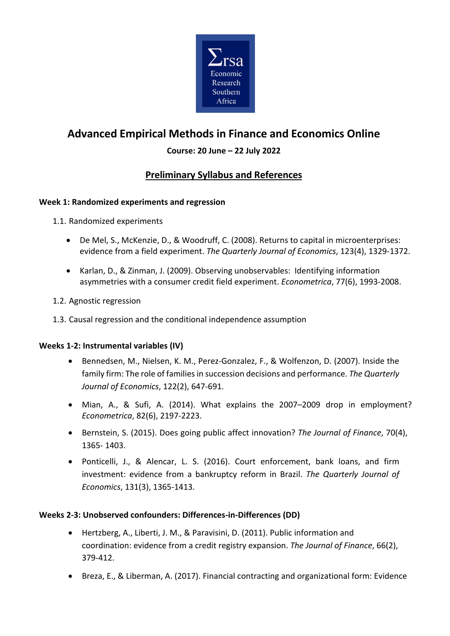

# **Advanced Empirical Methods in Finance and Economics Online**

### **Course: 20 June – 22 July 2022**

## **Preliminary Syllabus and References**

#### **Week 1: Randomized experiments and regression**

1.1. Randomized experiments

- De Mel, S., McKenzie, D., & Woodruff, C. (2008). Returns to capital in microenterprises: evidence from a field experiment. *The Quarterly Journal of Economics*, 123(4), 1329-1372.
- Karlan, D., & Zinman, J. (2009). Observing unobservables: Identifying information asymmetries with a consumer credit field experiment. *Econometrica*, 77(6), 1993-2008.
- 1.2. Agnostic regression
- 1.3. Causal regression and the conditional independence assumption

#### **Weeks 1-2: Instrumental variables (IV)**

- Bennedsen, M., Nielsen, K. M., Perez-Gonzalez, F., & Wolfenzon, D. (2007). Inside the family firm: The role of families in succession decisions and performance. *The Quarterly Journal of Economics*, 122(2), 647-691.
- Mian, A., & Sufi, A. (2014). What explains the 2007–2009 drop in employment? *Econometrica*, 82(6), 2197-2223.
- Bernstein, S. (2015). Does going public affect innovation? *The Journal of Finance*, 70(4), 1365- 1403.
- Ponticelli, J., & Alencar, L. S. (2016). Court enforcement, bank loans, and firm investment: evidence from a bankruptcy reform in Brazil. *The Quarterly Journal of Economics*, 131(3), 1365-1413.

#### **Weeks 2-3: Unobserved confounders: Differences-in-Differences (DD)**

- Hertzberg, A., Liberti, J. M., & Paravisini, D. (2011). Public information and coordination: evidence from a credit registry expansion. *The Journal of Finance*, 66(2), 379-412.
- Breza, E., & Liberman, A. (2017). Financial contracting and organizational form: Evidence